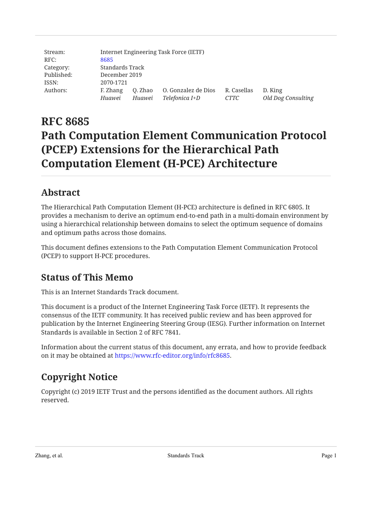| Stream:    |           |                 | Internet Engineering Task Force (IETF) |             |                    |  |
|------------|-----------|-----------------|----------------------------------------|-------------|--------------------|--|
| RFC:       | 8685      |                 |                                        |             |                    |  |
| Category:  |           | Standards Track |                                        |             |                    |  |
| Published: |           | December 2019   |                                        |             |                    |  |
| ISSN:      | 2070-1721 |                 |                                        |             |                    |  |
| Authors:   | F. Zhang  | O. Zhao         | O. Gonzalez de Dios                    | R. Casellas | D. King            |  |
|            | Huawei    | Huawei          | Telefonica I+D                         | CTTC        | Old Dog Consulting |  |

# **RFC 8685 Path Computation Element Communication Protocol (PCEP) Extensions for the Hierarchical Path Computation Element (H-PCE) Architecture**

# <span id="page-0-0"></span>**[Abstract](#page-0-0)**

The Hierarchical Path Computation Element (H-PCE) architecture is defined in RFC 6805. It provides a mechanism to derive an optimum end-to-end path in a multi-domain environment by using a hierarchical relationship between domains to select the optimum sequence of domains and optimum paths across those domains.

<span id="page-0-1"></span>This document defines extensions to the Path Computation Element Communication Protocol (PCEP) to support H-PCE procedures.

# **[Status of This Memo](#page-0-1)**

This is an Internet Standards Track document.

This document is a product of the Internet Engineering Task Force (IETF). It represents the consensus of the IETF community. It has received public review and has been approved for publication by the Internet Engineering Steering Group (IESG). Further information on Internet Standards is available in Section 2 of RFC 7841.

<span id="page-0-2"></span>Information about the current status of this document, any errata, and how to provide feedback on it may be obtained at <https://www.rfc-editor.org/info/rfc8685>.

# **[Copyright Notice](#page-0-2)**

Copyright (c) 2019 IETF Trust and the persons identified as the document authors. All rights reserved.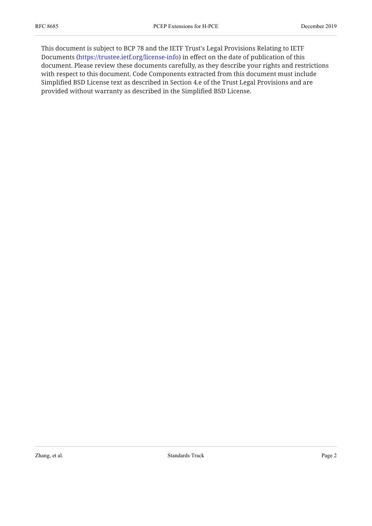This document is subject to BCP 78 and the IETF Trust's Legal Provisions Relating to IETF Documents (<https://trustee.ietf.org/license-info>) in effect on the date of publication of this document. Please review these documents carefully, as they describe your rights and restrictions with respect to this document. Code Components extracted from this document must include Simplified BSD License text as described in Section 4.e of the Trust Legal Provisions and are provided without warranty as described in the Simplified BSD License.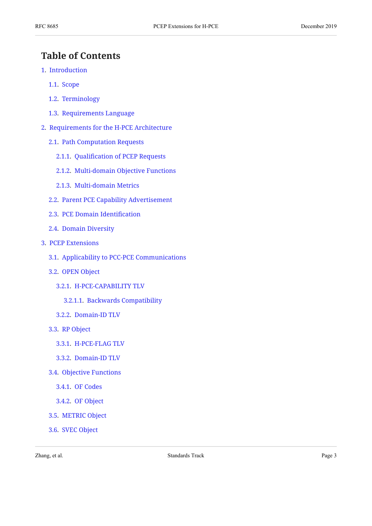# <span id="page-2-0"></span>**[Table of Contents](#page-2-0)**

- [1](#page-4-0). [Introduction](#page-4-0)
	- [1.1.](#page-5-0) [Scope](#page-5-0)
	- [1.2.](#page-5-1) [Terminology](#page-5-1)
	- [1.3.](#page-6-0) [Requirements Language](#page-6-0)
- [2](#page-6-1). [Requirements for the H-PCE Architecture](#page-6-1)
	- [2.1.](#page-6-2) [Path Computation Requests](#page-6-2)
		- [2.1.1.](#page-6-3) Qualifi[cation of PCEP Requests](#page-6-3)
		- [2.1.2.](#page-6-4) [Multi-domain Objective Functions](#page-6-4)
		- [2.1.3.](#page-7-0) [Multi-domain Metrics](#page-7-0)
	- [2.2.](#page-7-1) [Parent PCE Capability Advertisement](#page-7-1)
	- [2.3.](#page-7-2) [PCE Domain Identi](#page-7-2)fication
	- [2.4.](#page-7-3) [Domain Diversity](#page-7-3)
- [3](#page-8-0). [PCEP Extensions](#page-8-0)
	- [3.1.](#page-8-1) [Applicability to PCC-PCE Communications](#page-8-1)
	- [3.2.](#page-8-2) [OPEN Object](#page-8-2)
		- [3.2.1.](#page-8-3) [H-PCE-CAPABILITY TLV](#page-8-3)
			- [3.2.1.1.](#page-9-0) [Backwards Compatibility](#page-9-0)
		- [3.2.2.](#page-9-1) [Domain-ID TLV](#page-9-1)
	- [3.3.](#page-10-0) [RP Object](#page-10-0)
		- [3.3.1.](#page-10-1) [H-PCE-FLAG TLV](#page-10-1)
		- [3.3.2.](#page-11-0) [Domain-ID TLV](#page-11-0)
	- [3.4.](#page-11-1) [Objective Functions](#page-11-1)
		- [3.4.1.](#page-11-2) [OF Codes](#page-11-2)
		- [3.4.2.](#page-13-0) [OF Object](#page-13-0)
	- [3.5.](#page-13-1) [METRIC Object](#page-13-1)
	- [3.6.](#page-14-0) [SVEC Object](#page-14-0)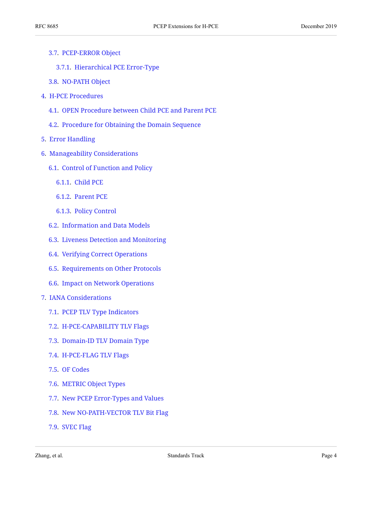- [3.7.](#page-14-1) [PCEP-ERROR Object](#page-14-1)
	- [3.7.1.](#page-14-2) [Hierarchical PCE Error-Type](#page-14-2)
- [3.8.](#page-14-3) [NO-PATH Object](#page-14-3)
- [4](#page-15-0). [H-PCE Procedures](#page-15-0)
	- [4.1.](#page-15-1) [OPEN Procedure between Child PCE and Parent PCE](#page-15-1)
	- [4.2.](#page-15-2) [Procedure for Obtaining the Domain Sequence](#page-15-2)
- [5](#page-16-0). [Error Handling](#page-16-0)
- [6](#page-16-1). [Manageability Considerations](#page-16-1)
	- [6.1.](#page-16-2) [Control of Function and Policy](#page-16-2)
		- [6.1.1.](#page-17-0) [Child PCE](#page-17-0)
		- [6.1.2.](#page-17-1) [Parent PCE](#page-17-1)
		- [6.1.3.](#page-17-2) [Policy Control](#page-17-2)
	- [6.2.](#page-17-3) [Information and Data Models](#page-17-3)
	- [6.3.](#page-18-0) [Liveness Detection and Monitoring](#page-18-0)
	- [6.4.](#page-18-1) [Verifying Correct Operations](#page-18-1)
	- [6.5.](#page-18-2) [Requirements on Other Protocols](#page-18-2)
	- [6.6.](#page-18-3) [Impact on Network Operations](#page-18-3)
- [7](#page-18-4). [IANA Considerations](#page-18-4)
	- [7.1.](#page-18-5) [PCEP TLV Type Indicators](#page-18-5)
	- [7.2.](#page-19-0) [H-PCE-CAPABILITY TLV Flags](#page-19-0)
	- [7.3.](#page-19-1) [Domain-ID TLV Domain Type](#page-19-1)
	- [7.4.](#page-20-0) [H-PCE-FLAG TLV Flags](#page-20-0)
	- [7.5.](#page-20-1) [OF Codes](#page-20-1)
	- [7.6.](#page-21-0) [METRIC Object Types](#page-21-0)
	- [7.7.](#page-21-1) [New PCEP Error-Types and Values](#page-21-1)
	- [7.8.](#page-21-2) [New NO-PATH-VECTOR TLV Bit Flag](#page-21-2)
	- [7.9.](#page-22-0) [SVEC Flag](#page-22-0)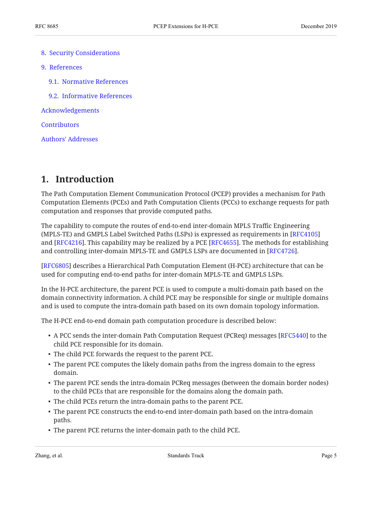- [8](#page-22-1). [Security Considerations](#page-22-1)
- [9](#page-22-2). [References](#page-22-2)
	- [9.1.](#page-22-3) [Normative References](#page-22-3)
	- [9.2.](#page-23-0) [Informative References](#page-23-0)

[Acknowledgements](#page-25-0)

**[Contributors](#page-25-1)** 

[Authors' Addresses](#page-25-2)

# <span id="page-4-0"></span>**[1. Introduction](#page-4-0)**

The Path Computation Element Communication Protocol (PCEP) provides a mechanism for Path Computation Elements (PCEs) and Path Computation Clients (PCCs) to exchange requests for path computation and responses that provide computed paths.

The capability to compute the routes of end-to-end inter-domain MPLS Traffic Engineering (MPLS-TE) and GMPLS Label Switched Paths (LSPs) is expressed as requirements in [[RFC4105\]](#page-23-1) and [RFC4216]. This capability may be realized by a PCE [RFC4655]. The methods for establishing and controlling inter-domain MPLS-TE and GMPLS LSPs are documented in [RFC4726].

[[RFC6805](#page-24-0)] describes a Hierarchical Path Computation Element (H-PCE) architecture that can be used for computing end-to-end paths for inter-domain MPLS-TE and GMPLS LSPs.

In the H-PCE architecture, the parent PCE is used to compute a multi-domain path based on the domain connectivity information. A child PCE may be responsible for single or multiple domains and is used to compute the intra-domain path based on its own domain topology information.

The H-PCE end-to-end domain path computation procedure is described below:

- $\bullet$  A PCC sends the inter-domain Path Computation Request (PCReq) messages [RFC5440] to the child PCE responsible for its domain.
- The child PCE forwards the request to the parent PCE.
- The parent PCE computes the likely domain paths from the ingress domain to the egress domain.
- The parent PCE sends the intra-domain PCReq messages (between the domain border nodes) to the child PCEs that are responsible for the domains along the domain path.
- The child PCEs return the intra-domain paths to the parent PCE.
- The parent PCE constructs the end-to-end inter-domain path based on the intra-domain paths.
- The parent PCE returns the inter-domain path to the child PCE.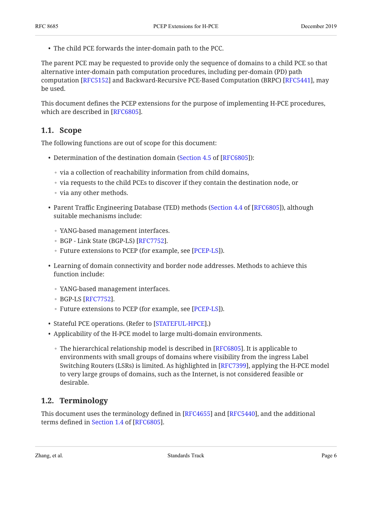- - The child PCE forwards the inter-domain path to the PCC.

The parent PCE may be requested to provide only the sequence of domains to a child PCE so that alternative inter-domain path computation procedures, including per-domain (PD) path computation [RFC5152] and Backward-Recursive PCE-Based Computation (BRPC) [RFC5441], may be used.

<span id="page-5-0"></span>This document defines the PCEP extensions for the purpose of implementing H-PCE procedures, which are described in [RFC6805].

### **[1.1. Scope](#page-5-0)**

The following functions are out of scope for this document:

- Determination of the destination domain ([Section 4.5](https://www.rfc-editor.org/rfc/rfc6805#section-4.5) of [\[RFC6805](#page-24-0)]):
	- via a collection of reachability information from child domains,
	- via requests to the child PCEs to discover if they contain the destination node, or
	- via any other methods.
- Parent Traffic Engineering Database (TED) methods ([Section 4.4](https://www.rfc-editor.org/rfc/rfc6805#section-4.4) of [\[RFC6805](#page-24-0)]), although suitable mechanisms include:
	- YANG-based management interfaces.
	- 。BGP Link State (BGP-LS) [[RFC7752\]](#page-24-1).
	- Future extensions to PCEP (for example, see [PCEP-LS]).
- Learning of domain connectivity and border node addresses. Methods to achieve this function include:
	- YANG-based management interfaces.
	- $•$  BGP-LS [RFC7752].
	- Future extensions to PCEP (for example, see [[PCEP-LS\]](#page-25-3)).
- Stateful PCE operations. (Refer to [\[STATEFUL-HPCE](#page-24-2)].)
- Applicability of the H-PCE model to large multi-domain environments.
	- $\, \circ \,$  The hierarchical relationship model is described in [RFC6805]. It is applicable to environments with small groups of domains where visibility from the ingress Label Switching Routers (LSRs) is limited. As highlighted in [RFC7399], applying the H-PCE model to very large groups of domains, such as the Internet, is not considered feasible or desirable.

## <span id="page-5-1"></span>**[1.2. Terminology](#page-5-1)**

This document uses the terminology defined in [RFC4655] and [RFC5440], and the additional terms defined in Section 1.4 of [RFC6805].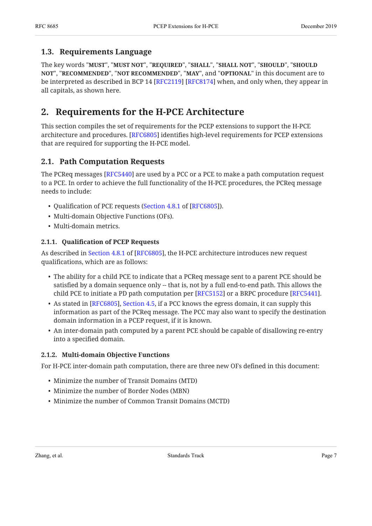### <span id="page-6-0"></span>**[1.3. Requirements Language](#page-6-0)**

The key words "MUST", "MUST NOT", "REQUIRED", "SHALL", "SHALL NOT", "SHOULD", "SHOULD <code>NOT",</code> "<code>RECOMMENDED", "NOT RECOMMENDED", "MAY", and "OPTIONAL" in this document are to</code> be interpreted as described in BCP 14 [RFC2119] [RFC8174] when, and only when, they appear in all capitals, as shown here.

# <span id="page-6-1"></span>**[2. Requirements for the H-PCE Architecture](#page-6-1)**

This section compiles the set of requirements for the PCEP extensions to support the H-PCE architecture and procedures. [RFC6805] identifies high-level requirements for PCEP extensions that are required for supporting the H-PCE model.

# <span id="page-6-2"></span>**[2.1. Path Computation Requests](#page-6-2)**

The PCReq messages [RFC5440] are used by a PCC or a PCE to make a path computation request to a PCE. In order to achieve the full functionality of the H-PCE procedures, the PCReq message needs to include:

- Qualification of PCE requests ([Section 4.8.1](https://www.rfc-editor.org/rfc/rfc6805#section-4.8.1) of  $[{\rm RFC6805}].$
- Multi-domain Objective Functions (OFs).
- <span id="page-6-3"></span>• Multi-domain metrics.

### **[2.1.1.](#page-6-3) Qualifi[cation of PCEP Requests](#page-6-3)**

Asdescribed in Section 4.8.1 of [RFC6805], the H-PCE architecture introduces new request qualifications, which are as follows:

- The ability for a child PCE to indicate that a PCReq message sent to a parent PCE should be satisfied by a domain sequence only -- that is, not by a full end-to-end path. This allows the child PCE to initiate a PD path computation per  $[RFC5152]$  or a BRPC procedure  $[RFC5441]$ .
- As stated in [RFC6805][,](https://www.rfc-editor.org/rfc/rfc6805#section-4.5) Section 4.5, if a PCC knows the egress domain, it can supply this information as part of the PCReq message. The PCC may also want to specify the destination domain information in a PCEP request, if it is known.
- An inter-domain path computed by a parent PCE should be capable of disallowing re-entry into a specified domain.

### <span id="page-6-4"></span>**[2.1.2. Multi-domain Objective Functions](#page-6-4)**

For H-PCE inter-domain path computation, there are three new OFs defined in this document:

- Minimize the number of Transit Domains (MTD)
- Minimize the number of Border Nodes (MBN)
- Minimize the number of Common Transit Domains (MCTD)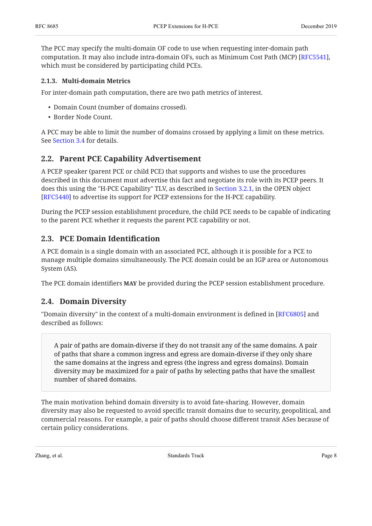The PCC may specify the multi-domain OF code to use when requesting inter-domain path computation. It may also include intra-domain OFs, such as Minimum Cost Path (MCP) [[RFC5541\]](#page-23-9), which must be considered by participating child PCEs.

### <span id="page-7-0"></span>**[2.1.3. Multi-domain Metrics](#page-7-0)**

For inter-domain path computation, there are two path metrics of interest.

- Domain Count (number of domains crossed).
- Border Node Count.

A PCC may be able to limit the number of domains crossed by applying a limit on these metrics. See [Section 3.4](#page-11-1) for details.

### <span id="page-7-1"></span>**[2.2. Parent PCE Capability Advertisement](#page-7-1)**

A PCEP speaker (parent PCE or child PCE) that supports and wishes to use the procedures described in this document must advertise this fact and negotiate its role with its PCEP peers. It does this using the "H-PCE Capability" TLV, as described in [Section 3.2.1](#page-8-3), in the OPEN object [[RFC5440](#page-23-5)] to advertise its support for PCEP extensions for the H-PCE capability.

During the PCEP session establishment procedure, the child PCE needs to be capable of indicating to the parent PCE whether it requests the parent PCE capability or not.

### <span id="page-7-2"></span>**[2.3. PCE Domain Identi](#page-7-2)fication**

A PCE domain is a single domain with an associated PCE, although it is possible for a PCE to manage multiple domains simultaneously. The PCE domain could be an IGP area or Autonomous System (AS).

<span id="page-7-3"></span>The PCE domain identifiers MAY be provided during the PCEP session establishment procedure.

## **[2.4. Domain Diversity](#page-7-3)**

"Domain diversity" in the context of a multi-domain environment is defined in [\[RFC6805](#page-24-0)] and described as follows:

A pair of paths are domain-diverse if they do not transit any of the same domains. A pair of paths that share a common ingress and egress are domain-diverse if they only share the same domains at the ingress and egress (the ingress and egress domains). Domain diversity may be maximized for a pair of paths by selecting paths that have the smallest number of shared domains.

The main motivation behind domain diversity is to avoid fate-sharing. However, domain diversity may also be requested to avoid specific transit domains due to security, geopolitical, and commercial reasons. For example, a pair of paths should choose different transit ASes because of certain policy considerations.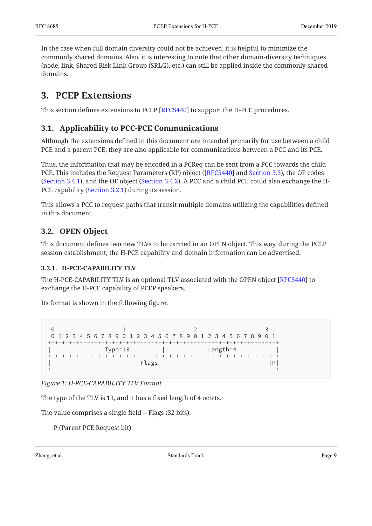In the case when full domain diversity could not be achieved, it is helpful to minimize the commonly shared domains. Also, it is interesting to note that other domain-diversity techniques (node, link, Shared Risk Link Group (SRLG), etc.) can still be applied inside the commonly shared domains.

# <span id="page-8-0"></span>**[3. PCEP Extensions](#page-8-0)**

<span id="page-8-1"></span>This section defines extensions to PCEP [RFC5440] to support the H-PCE procedures.

# **[3.1. Applicability to PCC-PCE Communications](#page-8-1)**

Although the extensions defined in this document are intended primarily for use between a child PCE and a parent PCE, they are also applicable for communications between a PCC and its PCE.

Thus, the information that may be encoded in a PCReq can be sent from a PCC towards the child PCE. This includes the Request Parameters (RP) object ([RFC5440] and [Section 3.3\)](#page-10-0), the OF codes [\(Section 3.4.1](#page-11-2)), and the OF object [\(Section 3.4.2](#page-13-0)). A PCC and a child PCE could also exchange the H-PCE capability [\(Section 3.2.1](#page-8-3)) during its session.

This allows a PCC to request paths that transit multiple domains utilizing the capabilities defined in this document.

# <span id="page-8-2"></span>**[3.2. OPEN Object](#page-8-2)**

This document defines two new TLVs to be carried in an OPEN object. This way, during the PCEP session establishment, the H-PCE capability and domain information can be advertised.

### <span id="page-8-3"></span>**[3.2.1. H-PCE-CAPABILITY TLV](#page-8-3)**

The H-PCE-CAPABILITY TLV is an optional TLV associated with the OPEN object [[RFC5440\]](#page-23-5) to exchange the H-PCE capability of PCEP speakers.

Its format is shown in the following figure:

<span id="page-8-4"></span>

|  |           | 0 1 2 3 4 5 6 7 8 9 0 1 2 3 4 5 6 7 8 9 0 1 2 3 4 5 6 7 8 9 0 1 |  |  |
|--|-----------|-----------------------------------------------------------------|--|--|
|  |           |                                                                 |  |  |
|  | $Type=13$ | Length=4                                                        |  |  |
|  |           |                                                                 |  |  |
|  | Flags     |                                                                 |  |  |
|  |           |                                                                 |  |  |

*[Figure 1: H-PCE-CAPABILITY TLV Format](#page-8-4)* 

The type of the TLV is 13, and it has a fixed length of 4 octets.

The value comprises a single field -- Flags (32 bits):

P (Parent PCE Request bit):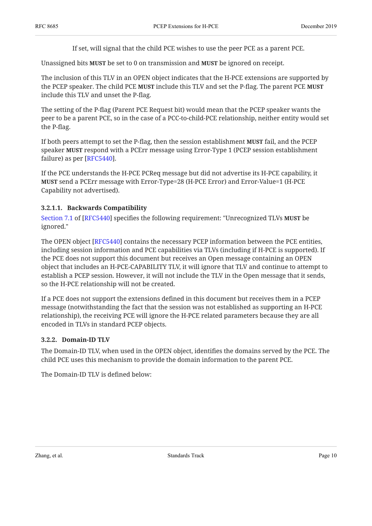If set, will signal that the child PCE wishes to use the peer PCE as a parent PCE.

**Unassigned bits MUST be set to 0 on transmission and MUST be ignored on receipt.** 

The inclusion of this TLV in an OPEN object indicates that the H-PCE extensions are supported by the PCEP speaker. The child PCE **MUST** include this TLV and set the P-flag. The parent PCE **MUST** include this TLV and unset the P-flag.

The setting of the P-flag (Parent PCE Request bit) would mean that the PCEP speaker wants the peer to be a parent PCE, so in the case of a PCC-to-child-PCE relationship, neither entity would set the P-flag.

If both peers attempt to set the P-flag, then the session establishment **MUST** fail, and the PCEP speaker **MUST** respond with a PCErr message using Error-Type 1 (PCEP session establishment failure) as per [RFC5440].

If the PCE understands the H-PCE PCReq message but did not advertise its H-PCE capability, it **MUST** send a PCErr message with Error-Type=28 (H-PCE Error) and Error-Value=1 (H-PCE Capability not advertised).

### <span id="page-9-0"></span>**[3.2.1.1. Backwards Compatibility](#page-9-0)**

[Section 7.1](https://www.rfc-editor.org/rfc/rfc5440#section-7.1) of [\[RFC5440](#page-23-5)] specifies the following requirement: "Unrecognized TLVs **MUST** be ignored."

The OPEN object [RFC5440] contains the necessary PCEP information between the PCE entities, including session information and PCE capabilities via TLVs (including if H-PCE is supported). If the PCE does not support this document but receives an Open message containing an OPEN object that includes an H-PCE-CAPABILITY TLV, it will ignore that TLV and continue to attempt to establish a PCEP session. However, it will not include the TLV in the Open message that it sends, so the H-PCE relationship will not be created.

If a PCE does not support the extensions defined in this document but receives them in a PCEP message (notwithstanding the fact that the session was not established as supporting an H-PCE relationship), the receiving PCE will ignore the H-PCE related parameters because they are all encoded in TLVs in standard PCEP objects.

#### <span id="page-9-1"></span>**[3.2.2. Domain-ID TLV](#page-9-1)**

The Domain-ID TLV, when used in the OPEN object, identifies the domains served by the PCE. The child PCE uses this mechanism to provide the domain information to the parent PCE.

<span id="page-9-2"></span>The Domain-ID TLV is defined below: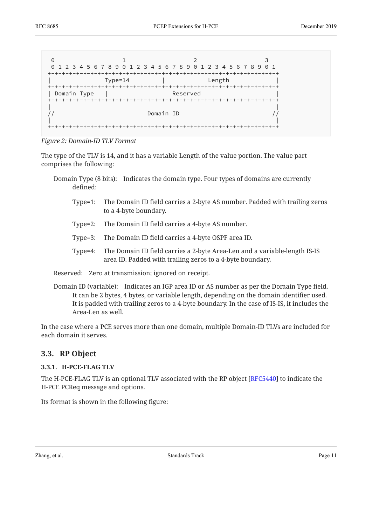<span id="page-10-2"></span>

*[Figure 2:](#page-10-2) [Domain-ID TLV Format](#page-9-2)* 

The type of the TLV is 14, and it has a variable Length of the value portion. The value part comprises the following:

- Domain Type (8 bits): Indicates the domain type. Four types of domains are currently defined:
	- Type=1: The Domain ID field carries a 2-byte AS number. Padded with trailing zeros to a 4-byte boundary.
	- Type=2: The Domain ID field carries a 4-byte AS number.
	- Type=3: The Domain ID field carries a 4-byte OSPF area ID.
	- Type=4: The Domain ID field carries a 2-byte Area-Len and a variable-length IS-IS area ID. Padded with trailing zeros to a 4-byte boundary.

Reserved: Zero at transmission; ignored on receipt.

Domain ID (variable): Indicates an IGP area ID or AS number as per the Domain Type field. It can be 2 bytes, 4 bytes, or variable length, depending on the domain identifier used. It is padded with trailing zeros to a 4-byte boundary. In the case of IS-IS, it includes the Area-Len as well.

<span id="page-10-0"></span>In the case where a PCE serves more than one domain, multiple Domain-ID TLVs are included for each domain it serves.

### <span id="page-10-1"></span>**[3.3. RP Object](#page-10-0)**

#### **[3.3.1. H-PCE-FLAG TLV](#page-10-1)**

The H-PCE-FLAG TLV is an optional TLV associated with the RP object [RFC5440] to indicate the H-PCE PCReq message and options.

<span id="page-10-3"></span>Its format is shown in the following figure: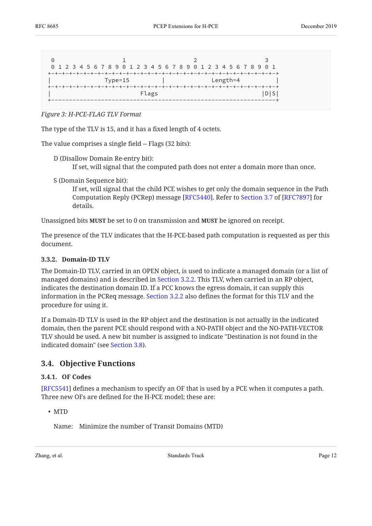<span id="page-11-3"></span>

| 0 1 2 3 4 5 6 7 8 9 0 1 2 3 4 5 6 7 8 9 0 1 2 3 4 5 6 7 8 9 0 1 |  |  |
|-----------------------------------------------------------------|--|--|
| $Length = 4$<br>$Type=15$                                       |  |  |
| Flags                                                           |  |  |

*[Figure 3:](#page-11-3) [H-PCE-FLAG TLV Format](#page-10-3)* 

The type of the TLV is 15, and it has a fixed length of 4 octets.

The value comprises a single field -- Flags (32 bits):

D (Disallow Domain Re-entry bit):

If set, will signal that the computed path does not enter a domain more than once.

S (Domain Sequence bit):

If set, will signal that the child PCE wishes to get only the domain sequence in the Path Computation Reply (PCRep) message [RFC5440]. Refer to Section 3.7 of [RFC7897] for details.

Unassigned bits **MUST** be set to 0 on transmission and **MUST** be ignored on receipt.

The presence of the TLV indicates that the H-PCE-based path computation is requested as per this document.

#### <span id="page-11-0"></span>**[3.3.2. Domain-ID TLV](#page-11-0)**

The Domain-ID TLV, carried in an OPEN object, is used to indicate a managed domain (or a list of managed domains) and is described in [Section 3.2.2](#page-9-1). This TLV, when carried in an RP object, indicates the destination domain ID. If a PCC knows the egress domain, it can supply this information in the PCReq message. [Section 3.2.2](#page-9-1) also defines the format for this TLV and the procedure for using it.

If a Domain-ID TLV is used in the RP object and the destination is not actually in the indicated domain, then the parent PCE should respond with a NO-PATH object and the NO-PATH-VECTOR TLV should be used. A new bit number is assigned to indicate "Destination is not found in the indicated domain" (see [Section 3.8](#page-14-3)).

### <span id="page-11-2"></span><span id="page-11-1"></span>**[3.4. Objective Functions](#page-11-1)**

#### **[3.4.1. OF Codes](#page-11-2)**

 $[{\rm RFC5541}]$  $[{\rm RFC5541}]$  $[{\rm RFC5541}]$  defines a mechanism to specify an OF that is used by a PCE when it computes a path. Three new OFs are defined for the H-PCE model; these are:

• MTD

Name: Minimize the number of Transit Domains (MTD)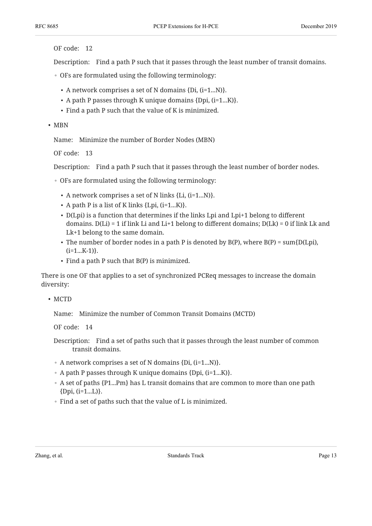OF code: 12

Description: Find a path P such that it passes through the least number of transit domains.

- OFs are formulated using the following terminology:
	- $\bullet$  A network comprises a set of N domains {Di, (i=1...N)}.
	- $\bullet$  A path P passes through K unique domains {Dpi,  $(i=1...K)$ }.
	- Find a path P such that the value of K is minimized.

#### • MBN

Name: Minimize the number of Border Nodes (MBN)

OF code: 13

Description: Find a path P such that it passes through the least number of border nodes.

- OFs are formulated using the following terminology:
	- $\bullet$  A network comprises a set of N links {Li, (i=1...N)}.
	- $\bullet$  A path P is a list of K links {Lpi, (i=1...K)}.
	- D(Lpi) is a function that determines if the links Lpi and Lpi+1 belong to different domains.  $D(Li) = 1$  if link Li and Li+1 belong to different domains;  $D(Lk) = 0$  if link Lk and Lk+1 belong to the same domain.
	- The number of border nodes in a path P is denoted by  $B(P)$ , where  $B(P) = \text{sum}\{D(Lpi),$  $(i=1...K-1)$ .
	- $\cdot$  Find a path P such that B(P) is minimized.

There is one OF that applies to a set of synchronized PCReq messages to increase the domain diversity:

• MCTD

Name: Minimize the number of Common Transit Domains (MCTD)

OF code: 14

- Description: Find a set of paths such that it passes through the least number of common transit domains.
- A network comprises a set of N domains {Di, (i=1...N)}.
- A path P passes through K unique domains {Dpi, (i=1...K)}.
- A set of paths {P1...Pm} has L transit domains that are common to more than one path {Dpi, (i=1...L)}.
- Find a set of paths such that the value of L is minimized.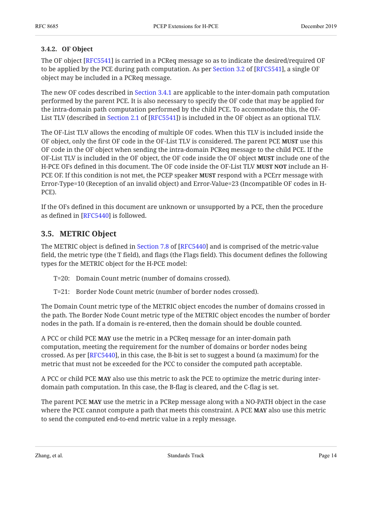### <span id="page-13-0"></span>**[3.4.2. OF Object](#page-13-0)**

The OF object [\[RFC5541](#page-23-9)] is carried in a PCReq message so as to indicate the desired/required OF to be applied by the PCE during path computation. As per [Section 3.2](https://www.rfc-editor.org/rfc/rfc5541#section-3.2) of [\[RFC5541](#page-23-9)], a single OF object may be included in a PCReq message.

The new OF codes described in [Section 3.4.1](#page-11-2) are applicable to the inter-domain path computation performed by the parent PCE. It is also necessary to specify the OF code that may be applied for the intra-domain path computation performed by the child PCE. To accommodate this, the OF-List TLV (described in Section 2.1 of [RFC5541]) is included in the OF object as an optional TLV.

The OF-List TLV allows the encoding of multiple OF codes. When this TLV is included inside the OF object, only the first OF code in the OF-List TLV is considered. The parent PCE MUST use this OF code in the OF object when sending the intra-domain PCReq message to the child PCE. If the OF-List TLV is included in the OF object, the OF code inside the OF object include one of the **MUST** H-PCE OFs defined in this document. The OF code inside the OF-List TLV **MUST NOT** include an H-PCE OF. If this condition is not met, the PCEP speaker **MUST** respond with a PCErr message with Error-Type=10 (Reception of an invalid object) and Error-Value=23 (Incompatible OF codes in H-PCE).

If the OFs defined in this document are unknown or unsupported by a PCE, then the procedure as defined in [RFC5440] is followed.

## <span id="page-13-1"></span>**[3.5. METRIC Object](#page-13-1)**

The METRIC object is defined in Section 7.8 of [RFC5440] and is comprised of the metric-value field, the metric type (the T field), and flags (the Flags field). This document defines the following types for the METRIC object for the H-PCE model:

- T=20: Domain Count metric (number of domains crossed).
- T=21: Border Node Count metric (number of border nodes crossed).

The Domain Count metric type of the METRIC object encodes the number of domains crossed in the path. The Border Node Count metric type of the METRIC object encodes the number of border nodes in the path. If a domain is re-entered, then the domain should be double counted.

A PCC or child PCE **MAY** use the metric in a PCReq message for an inter-domain path computation, meeting the requirement for the number of domains or border nodes being crossed. As per [RFC5440], in this case, the B-bit is set to suggest a bound (a maximum) for the metric that must not be exceeded for the PCC to consider the computed path acceptable.

A PCC or child PCE **MAY** also use this metric to ask the PCE to optimize the metric during interdomain path computation. In this case, the B-flag is cleared, and the C-flag is set.

The parent PCE **MAY** use the metric in a PCRep message along with a NO-PATH object in the case where the PCE cannot compute a path that meets this constraint. A PCE **MAY** also use this metric to send the computed end-to-end metric value in a reply message.

Zhang, et al. **Example 28 Standards Track** Page 14 Standards Track Page 14 and 2011 12:30 Standards Track Page 14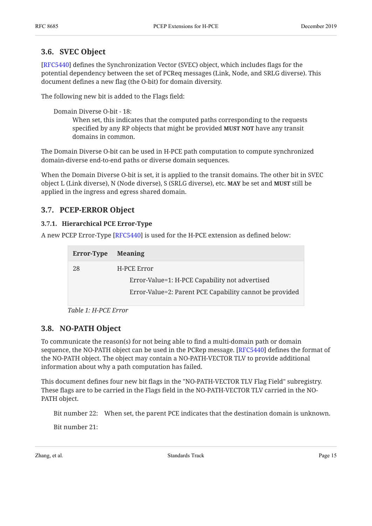### <span id="page-14-0"></span>**[3.6. SVEC Object](#page-14-0)**

[[RFC5440](#page-23-5)] defines the Synchronization Vector (SVEC) object, which includes flags for the potential dependency between the set of PCReq messages (Link, Node, and SRLG diverse). This document defines a new flag (the O-bit) for domain diversity.

The following new bit is added to the Flags field:

Domain Diverse O-bit - 18:

When set, this indicates that the computed paths corresponding to the requests specified by any RP objects that might be provided **MUST NOT** have any transit domains in common.

The Domain Diverse O-bit can be used in H-PCE path computation to compute synchronized domain-diverse end-to-end paths or diverse domain sequences.

When the Domain Diverse O-bit is set, it is applied to the transit domains. The other bit in SVEC object L (Link diverse), N (Node diverse), S (SRLG diverse), etc. **MAY** be set and **MUST** still be applied in the ingress and egress shared domain.

## <span id="page-14-2"></span><span id="page-14-1"></span>**[3.7. PCEP-ERROR Object](#page-14-1)**

### **[3.7.1. Hierarchical PCE Error-Type](#page-14-2)**

<span id="page-14-5"></span>A new PCEP Error-Type [\[RFC5440](#page-23-5)] is used for the H-PCE extension as defined below:

<span id="page-14-4"></span>

| Error-Type | <b>Meaning</b>                                          |
|------------|---------------------------------------------------------|
| 28         | H-PCE Error                                             |
|            | Error-Value=1: H-PCE Capability not advertised          |
|            | Error-Value=2: Parent PCE Capability cannot be provided |
|            |                                                         |



## <span id="page-14-3"></span>**[3.8. NO-PATH Object](#page-14-3)**

To communicate the reason(s) for not being able to find a multi-domain path or domain sequence, the NO-PATH object can be used in the PCRep message. [RFC5440] defines the format of the NO-PATH object. The object may contain a NO-PATH-VECTOR TLV to provide additional information about why a path computation has failed.

This document defines four new bit flags in the "NO-PATH-VECTOR TLV Flag Field" subregistry. These flags are to be carried in the Flags field in the NO-PATH-VECTOR TLV carried in the NO-PATH object.

Bit number 22: When set, the parent PCE indicates that the destination domain is unknown.

Bit number 21: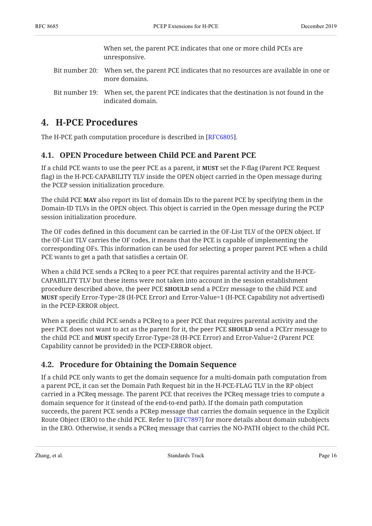When set, the parent PCE indicates that one or more child PCEs are unresponsive.

- Bit number 20: When set, the parent PCE indicates that no resources are available in one or more domains.
- Bit number 19: When set, the parent PCE indicates that the destination is not found in the indicated domain.

# <span id="page-15-0"></span>**[4. H-PCE Procedures](#page-15-0)**

<span id="page-15-1"></span>The H-PCE path computation procedure is described in [\[RFC6805](#page-24-0)].

# **[4.1. OPEN Procedure between Child PCE and Parent PCE](#page-15-1)**

If a child PCE wants to use the peer PCE as a parent, it **MUST** set the P-flag (Parent PCE Request flag) in the H-PCE-CAPABILITY TLV inside the OPEN object carried in the Open message during the PCEP session initialization procedure.

The child PCE **MAY** also report its list of domain IDs to the parent PCE by specifying them in the Domain-ID TLVs in the OPEN object. This object is carried in the Open message during the PCEP session initialization procedure.

The OF codes defined in this document can be carried in the OF-List TLV of the OPEN object. If the OF-List TLV carries the OF codes, it means that the PCE is capable of implementing the corresponding OFs. This information can be used for selecting a proper parent PCE when a child PCE wants to get a path that satisfies a certain OF.

When a child PCE sends a PCReq to a peer PCE that requires parental activity and the H-PCE-CAPABILITY TLV but these items were not taken into account in the session establishment procedure described above, the peer PCE **SHOULD** send a PCErr message to the child PCE and **MUST** specify Error-Type=28 (H-PCE Error) and Error-Value=1 (H-PCE Capability not advertised) in the PCEP-ERROR object.

When a specific child PCE sends a PCReq to a peer PCE that requires parental activity and the peer PCE does not want to act as the parent for it, the peer PCE **SHOULD** send a PCErr message to the child PCE and MUST specify Error-Type=28 (H-PCE Error) and Error-Value=2 (Parent PCE Capability cannot be provided) in the PCEP-ERROR object.

# <span id="page-15-2"></span>**[4.2. Procedure for Obtaining the Domain Sequence](#page-15-2)**

If a child PCE only wants to get the domain sequence for a multi-domain path computation from a parent PCE, it can set the Domain Path Request bit in the H-PCE-FLAG TLV in the RP object carried in a PCReq message. The parent PCE that receives the PCReq message tries to compute a domain sequence for it (instead of the end-to-end path). If the domain path computation succeeds, the parent PCE sends a PCRep message that carries the domain sequence in the Explicit Route Object (ERO) to the child PCE. Refer to [[RFC7897\]](#page-24-4) for more details about domain subobjects in the ERO. Otherwise, it sends a PCReq message that carries the NO-PATH object to the child PCE.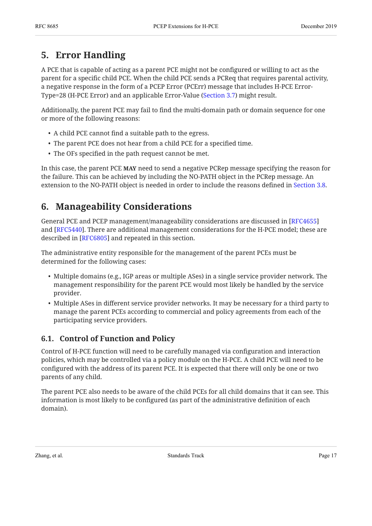# <span id="page-16-0"></span>**[5. Error Handling](#page-16-0)**

A PCE that is capable of acting as a parent PCE might not be configured or willing to act as the parent for a specific child PCE. When the child PCE sends a PCReq that requires parental activity, a negative response in the form of a PCEP Error (PCErr) message that includes H-PCE Error-Type=28 (H-PCE Error) and an applicable Error-Value [\(Section 3.7](#page-14-1)) might result.

Additionally, the parent PCE may fail to find the multi-domain path or domain sequence for one or more of the following reasons:

- A child PCE cannot find a suitable path to the egress.
- The parent PCE does not hear from a child PCE for a specified time.
- The OFs specified in the path request cannot be met.

In this case, the parent PCE MAY need to send a negative PCRep message specifying the reason for the failure. This can be achieved by including the NO-PATH object in the PCRep message. An extension to the NO-PATH object is needed in order to include the reasons defined in [Section 3.8.](#page-14-3)

# <span id="page-16-1"></span>**[6. Manageability Considerations](#page-16-1)**

General PCE and PCEP management/manageability considerations are discussed in [\[RFC4655](#page-23-3)] and [RFC5440]. There are additional management considerations for the H-PCE model; these are described in [[RFC6805\]](#page-24-0) and repeated in this section.

The administrative entity responsible for the management of the parent PCEs must be determined for the following cases:

- Multiple domains (e.g., IGP areas or multiple ASes) in a single service provider network. The management responsibility for the parent PCE would most likely be handled by the service provider.
- Multiple ASes in different service provider networks. It may be necessary for a third party to manage the parent PCEs according to commercial and policy agreements from each of the participating service providers.

# <span id="page-16-2"></span>**[6.1. Control of Function and Policy](#page-16-2)**

Control of H-PCE function will need to be carefully managed via configuration and interaction policies, which may be controlled via a policy module on the H-PCE. A child PCE will need to be configured with the address of its parent PCE. It is expected that there will only be one or two parents of any child.

The parent PCE also needs to be aware of the child PCEs for all child domains that it can see. This information is most likely to be configured (as part of the administrative definition of each domain).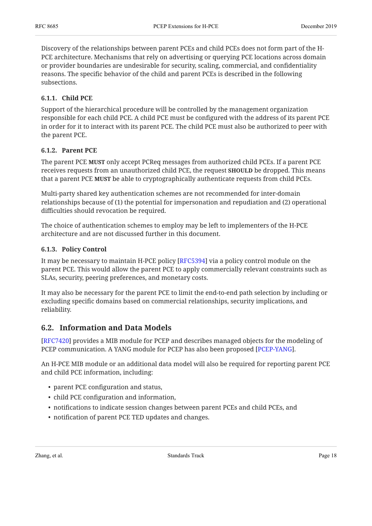Discovery of the relationships between parent PCEs and child PCEs does not form part of the H-PCE architecture. Mechanisms that rely on advertising or querying PCE locations across domain or provider boundaries are undesirable for security, scaling, commercial, and confidentiality reasons. The specific behavior of the child and parent PCEs is described in the following subsections.

### <span id="page-17-0"></span>**[6.1.1. Child PCE](#page-17-0)**

Support of the hierarchical procedure will be controlled by the management organization responsible for each child PCE. A child PCE must be configured with the address of its parent PCE in order for it to interact with its parent PCE. The child PCE must also be authorized to peer with the parent PCE.

### <span id="page-17-1"></span>**[6.1.2. Parent PCE](#page-17-1)**

The parent PCE **MUST** only accept PCReq messages from authorized child PCEs. If a parent PCE receives requests from an unauthorized child PCE, the request **SHOULD** be dropped. This means that a parent PCE MUST be able to cryptographically authenticate requests from child PCEs.

Multi-party shared key authentication schemes are not recommended for inter-domain relationships because of (1) the potential for impersonation and repudiation and (2) operational difficulties should revocation be required.

The choice of authentication schemes to employ may be left to implementers of the H-PCE architecture and are not discussed further in this document.

#### <span id="page-17-2"></span>**[6.1.3. Policy Control](#page-17-2)**

It may be necessary to maintain H-PCE policy [[RFC5394](#page-23-10)] via a policy control module on the parent PCE. This would allow the parent PCE to apply commercially relevant constraints such as SLAs, security, peering preferences, and monetary costs.

It may also be necessary for the parent PCE to limit the end-to-end path selection by including or excluding specific domains based on commercial relationships, security implications, and reliability.

## <span id="page-17-3"></span>**[6.2. Information and Data Models](#page-17-3)**

[[RFC7420](#page-24-5)] provides a MIB module for PCEP and describes managed objects for the modeling of PCEP communication. A YANG module for PCEP has also been proposed [PCEP-YANG].

An H-PCE MIB module or an additional data model will also be required for reporting parent PCE and child PCE information, including:

- parent PCE configuration and status,
- child PCE configuration and information,
- notifications to indicate session changes between parent PCEs and child PCEs, and
- notification of parent PCE TED updates and changes.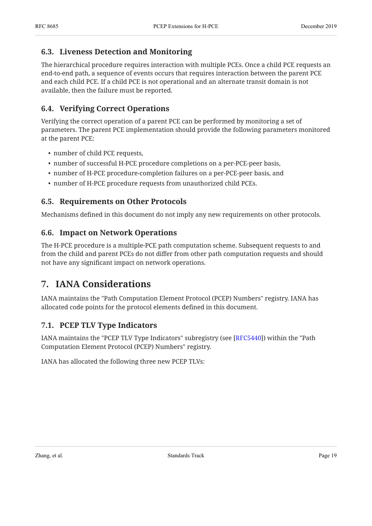## <span id="page-18-0"></span>**[6.3. Liveness Detection and Monitoring](#page-18-0)**

The hierarchical procedure requires interaction with multiple PCEs. Once a child PCE requests an end-to-end path, a sequence of events occurs that requires interaction between the parent PCE and each child PCE. If a child PCE is not operational and an alternate transit domain is not available, then the failure must be reported.

# <span id="page-18-1"></span>**[6.4. Verifying Correct Operations](#page-18-1)**

Verifying the correct operation of a parent PCE can be performed by monitoring a set of parameters. The parent PCE implementation should provide the following parameters monitored at the parent PCE:

- number of child PCE requests,
- number of successful H-PCE procedure completions on a per-PCE-peer basis,
- number of H-PCE procedure-completion failures on a per-PCE-peer basis, and
- <span id="page-18-2"></span>• number of H-PCE procedure requests from unauthorized child PCEs.

## **[6.5. Requirements on Other Protocols](#page-18-2)**

<span id="page-18-3"></span>Mechanisms defined in this document do not imply any new requirements on other protocols.

## **[6.6. Impact on Network Operations](#page-18-3)**

The H-PCE procedure is a multiple-PCE path computation scheme. Subsequent requests to and from the child and parent PCEs do not differ from other path computation requests and should not have any significant impact on network operations.

# <span id="page-18-4"></span>**[7. IANA Considerations](#page-18-4)**

IANA maintains the "Path Computation Element Protocol (PCEP) Numbers" registry. IANA has allocated code points for the protocol elements defined in this document.

## <span id="page-18-5"></span>**[7.1. PCEP TLV Type Indicators](#page-18-5)**

IANA maintains the "PCEP TLV Type Indicators" subregistry (see [RFC5440]) within the "Path Computation Element Protocol (PCEP) Numbers" registry.

<span id="page-18-6"></span>IANA has allocated the following three new PCEP TLVs: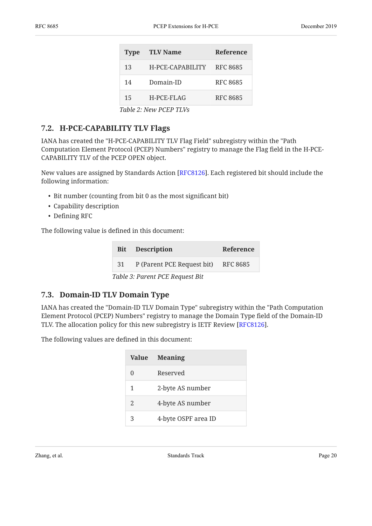<span id="page-19-2"></span>

| <b>Type</b> | <b>TLV Name</b>  | <b>Reference</b> |
|-------------|------------------|------------------|
| 13          | H-PCE-CAPABILITY | <b>RFC 8685</b>  |
| 14          | Domain-ID        | <b>RFC 8685</b>  |
| 15          | H-PCE-FLAG       | <b>RFC 8685</b>  |
|             |                  |                  |

*[Table 2:](#page-19-2) [New PCEP TLVs](#page-18-6)* 

## <span id="page-19-0"></span>**[7.2. H-PCE-CAPABILITY TLV Flags](#page-19-0)**

IANA has created the "H-PCE-CAPABILITY TLV Flag Field" subregistry within the "Path Computation Element Protocol (PCEP) Numbers" registry to manage the Flag field in the H-PCE-CAPABILITY TLV of the PCEP OPEN object.

New values are assigned by Standards Action [\[RFC8126](#page-24-7)]. Each registered bit should include the following information:

- Bit number (counting from bit 0 as the most significant bit)
- Capability description
- Defining RFC

<span id="page-19-4"></span>The following value is defined in this document:

<span id="page-19-3"></span>

|          | <b>Bit</b> Description                       | Reference |
|----------|----------------------------------------------|-----------|
| 31       | P (Parent PCE Request bit) RFC 8685          |           |
| m 11 o n | $\sqrt{2}$<br>$\cdot$ $\sim$ $\cdot$ $\cdot$ |           |

*[Table 3](#page-19-3): [Parent PCE Request Bit](#page-19-4)* 

# <span id="page-19-1"></span>**[7.3. Domain-ID TLV Domain Type](#page-19-1)**

IANA has created the "Domain-ID TLV Domain Type" subregistry within the "Path Computation Element Protocol (PCEP) Numbers" registry to manage the Domain Type field of the Domain-ID TLV. The allocation policy for this new subregistry is IETF Review [\[RFC8126](#page-24-7)].  $\,$ 

<span id="page-19-6"></span>The following values are defined in this document:

<span id="page-19-5"></span>

| <b>Value</b>   | <b>Meaning</b>      |
|----------------|---------------------|
| 0              | Reserved            |
| 1              | 2-byte AS number    |
| $\mathfrak{D}$ | 4-byte AS number    |
| 3              | 4-byte OSPF area ID |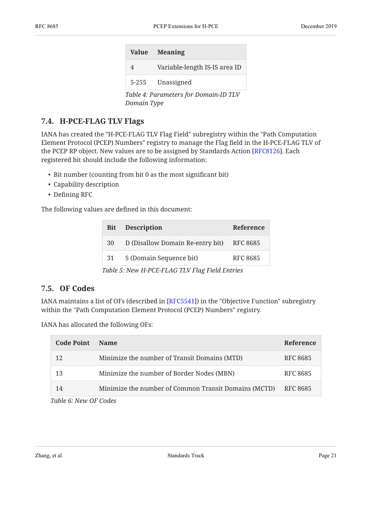|                                       | Value Meaning                 |  |
|---------------------------------------|-------------------------------|--|
| 4                                     | Variable-length IS-IS area ID |  |
|                                       | 5-255 Unassigned              |  |
| Table 4: Parameters for Domain-ID TLV |                               |  |

*[Domain Type](#page-19-6)* 

## <span id="page-20-0"></span>**[7.4. H-PCE-FLAG TLV Flags](#page-20-0)**

IANA has created the "H-PCE-FLAG TLV Flag Field" subregistry within the "Path Computation Element Protocol (PCEP) Numbers" registry to manage the Flag field in the H-PCE-FLAG TLV of the PCEP RP object. New values are to be assigned by Standards Action [RFC8126]. Each registered bit should include the following information:

- Bit number (counting from bit 0 as the most significant bit)
- Capability description
- Defining RFC

<span id="page-20-3"></span>The following values are defined in this document:

<span id="page-20-2"></span>

|                                                | <b>Bit</b> Description           | Reference |  |
|------------------------------------------------|----------------------------------|-----------|--|
| 30                                             | D (Disallow Domain Re-entry bit) | RFC 8685  |  |
| 31                                             | S (Domain Sequence bit)          | RFC 8685  |  |
| Table 5: New H-PCE-FLAG TLV Flag Field Entries |                                  |           |  |

## <span id="page-20-1"></span>**[7.5. OF Codes](#page-20-1)**

IANA maintains a list of OFs (described in [RFC5541]) in the "Objective Function" subregistry within the "Path Computation Element Protocol (PCEP) Numbers" registry.

IANA has allocated the following OFs:

<span id="page-20-5"></span><span id="page-20-4"></span>

| <b>Code Point</b> | <b>Name</b>                                          | <b>Reference</b> |
|-------------------|------------------------------------------------------|------------------|
| 12                | Minimize the number of Transit Domains (MTD)         | RFC 8685         |
| 13                | Minimize the number of Border Nodes (MBN)            | RFC 8685         |
| 14                | Minimize the number of Common Transit Domains (MCTD) | RFC 8685         |

*[Table 6](#page-20-4): [New OF Codes](#page-20-5)*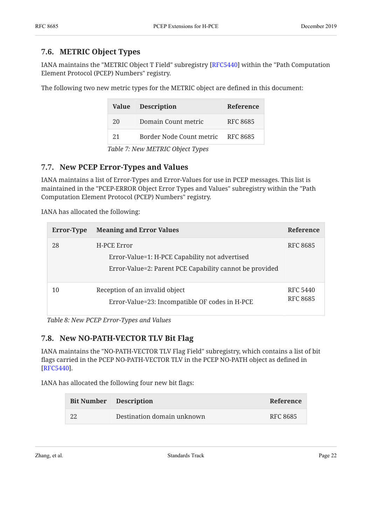### <span id="page-21-0"></span>**[7.6. METRIC Object Types](#page-21-0)**

IANA maintains the "METRIC Object T Field" subregistry [RFC5440] within the "Path Computation Element Protocol (PCEP) Numbers" registry.

<span id="page-21-4"></span>The following two new metric types for the METRIC object are defined in this document:

<span id="page-21-3"></span>

| Value                            | <b>Description</b>       | Reference |  |
|----------------------------------|--------------------------|-----------|--|
| 20                               | Domain Count metric      | RFC 8685  |  |
| 2.1                              | Border Node Count metric | RFC 8685  |  |
| Table 7: New METRIC Object Types |                          |           |  |

## <span id="page-21-1"></span>**[7.7. New PCEP Error-Types and Values](#page-21-1)**

IANA maintains a list of Error-Types and Error-Values for use in PCEP messages. This list is maintained in the "PCEP-ERROR Object Error Types and Values" subregistry within the "Path Computation Element Protocol (PCEP) Numbers" registry.

IANA has allocated the following:

<span id="page-21-6"></span><span id="page-21-5"></span>

| <b>Error-Type</b> | <b>Meaning and Error Values</b>                                                                                          | <b>Reference</b>            |
|-------------------|--------------------------------------------------------------------------------------------------------------------------|-----------------------------|
| 28                | H-PCE Error<br>Error-Value=1: H-PCE Capability not advertised<br>Error-Value=2: Parent PCE Capability cannot be provided | RFC 8685                    |
| 10                | Reception of an invalid object<br>Error-Value=23: Incompatible OF codes in H-PCE                                         | RFC 5440<br><b>RFC 8685</b> |

<span id="page-21-2"></span>*[Table 8:](#page-21-5) [New PCEP Error-Types and Values](#page-21-6)* 

### **[7.8. New NO-PATH-VECTOR TLV Bit Flag](#page-21-2)**

IANA maintains the "NO-PATH-VECTOR TLV Flag Field" subregistry, which contains a list of bit flags carried in the PCEP NO-PATH-VECTOR TLV in the PCEP NO-PATH object as defined in . [[RFC5440](#page-23-5)]

<span id="page-21-8"></span>IANA has allocated the following four new bit flags:

<span id="page-21-7"></span>

| <b>Bit Number</b> Description |                            | Reference |
|-------------------------------|----------------------------|-----------|
| -22                           | Destination domain unknown | RFC 8685  |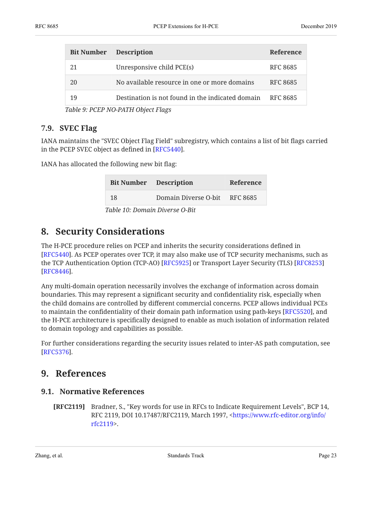| <b>Bit Number</b> | <b>Description</b>                               | <b>Reference</b> |
|-------------------|--------------------------------------------------|------------------|
| 21                | Unresponsive child PCE(s)                        | RFC 8685         |
| 20                | No available resource in one or more domains     | RFC 8685         |
| 19                | Destination is not found in the indicated domain | RFC 8685         |

*[Table 9](#page-21-7): [PCEP NO-PATH Object Flags](#page-21-8)* 

### <span id="page-22-0"></span>**[7.9. SVEC Flag](#page-22-0)**

IANA maintains the "SVEC Object Flag Field" subregistry, which contains a list of bit flags carried in the PCEP SVEC object as defined in [RFC5440].

<span id="page-22-6"></span>IANA has allocated the following new bit flag:

<span id="page-22-5"></span>

|    | <b>Bit Number</b> Description | Reference |
|----|-------------------------------|-----------|
| 18 | Domain Diverse O-bit RFC 8685 |           |
|    |                               |           |

*[Table 10](#page-22-5): [Domain Diverse O-Bit](#page-22-6)* 

# <span id="page-22-1"></span>**[8. Security Considerations](#page-22-1)**

The H-PCE procedure relies on PCEP and inherits the security considerations defined in [[RFC5440](#page-23-5)]. As PCEP operates over TCP, it may also make use of TCP security mechanisms, such as the TCP Authentication Option (TCP-AO) [RFC5925] or Transport Layer Security (TLS) [\[RFC8253](#page-24-9)] . [[RFC8446](#page-24-10)]

Any multi-domain operation necessarily involves the exchange of information across domain boundaries. This may represent a significant security and confidentiality risk, especially when the child domains are controlled by different commercial concerns. PCEP allows individual PCEs to maintain the confidentiality of their domain path information using path-keys [RFC5520], and the H-PCE architecture is specifically designed to enable as much isolation of information related to domain topology and capabilities as possible.

<span id="page-22-2"></span>For further considerations regarding the security issues related to inter-AS path computation, see . [[RFC5376](#page-23-12)]

# <span id="page-22-3"></span>**[9. References](#page-22-2)**

### **[9.1. Normative References](#page-22-3)**

<span id="page-22-4"></span>**[RFC2119]** Bradner, S., "Key words for use in RFCs to Indicate Requirement Levels", BCP 14, RFC 2119, DOI 10.17487/RFC2119, March 1997, <[https://www.rfc-editor.org/info/](https://www.rfc-editor.org/info/rfc2119) . [rfc2119>](https://www.rfc-editor.org/info/rfc2119)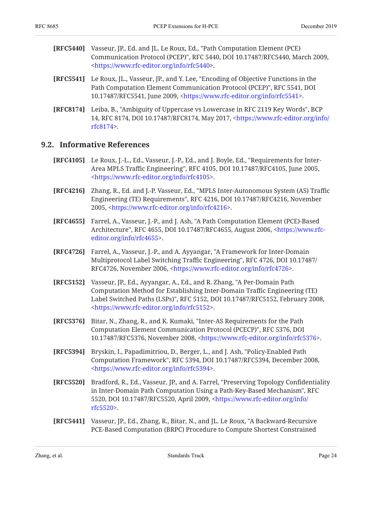- <span id="page-23-5"></span>**[RFC5440]** Vasseur, JP., Ed. and JL. Le Roux, Ed., "Path Computation Element (PCE) Communication Protocol (PCEP)", RFC 5440, DOI 10.17487/RFC5440, March 2009, . [<https://www.rfc-editor.org/info/rfc5440>](https://www.rfc-editor.org/info/rfc5440)
- <span id="page-23-9"></span>**[RFC5541]** Le Roux, JL., Vasseur, JP., and Y. Lee, "Encoding of Objective Functions in the Path Computation Element Communication Protocol (PCEP)", RFC 5541, DOI 10.17487/RFC5541, June 2009, <https://www.rfc-editor.org/info/rfc5541>.
- <span id="page-23-8"></span>**[RFC8174]** Leiba, B., "Ambiguity of Uppercase vs Lowercase in RFC 2119 Key Words", BCP 14, RFC 8174, DOI 10.17487/RFC8174, May 2017, [<https://www.rfc-editor.org/info/](https://www.rfc-editor.org/info/rfc8174) . [rfc8174>](https://www.rfc-editor.org/info/rfc8174)

### <span id="page-23-0"></span>**[9.2. Informative References](#page-23-0)**

- <span id="page-23-1"></span>**[RFC4105]** Le Roux, J.-L., Ed., Vasseur, J.-P., Ed., and J. Boyle, Ed., "Requirements for Inter-Area MPLS Traffic Engineering", RFC 4105, DOI 10.17487/RFC4105, June 2005, . [<https://www.rfc-editor.org/info/rfc4105>](https://www.rfc-editor.org/info/rfc4105)
- <span id="page-23-2"></span>**[RFC4216]** , Zhang, R., Ed. and J.-P. Vasseur, Ed. "MPLS Inter-Autonomous System (AS) Traffic Engineering (TE) Requirements", RFC 4216, DOI 10.17487/RFC4216, November 2005, <<https://www.rfc-editor.org/info/rfc4216>>.
- <span id="page-23-3"></span>**[RFC4655]** , Farrel, A., Vasseur, J.-P., and J. Ash "A Path Computation Element (PCE)-Based Architecture", RFC 4655, DOI 10.17487/RFC4655, August 2006, <[https://www.rfc-](https://www.rfc-editor.org/info/rfc4655). [editor.org/info/rfc4655](https://www.rfc-editor.org/info/rfc4655)>
- <span id="page-23-4"></span>**[RFC4726]** Farrel, A., Vasseur, J.-P., and A. Ayyangar, "A Framework for Inter-Domain Multiprotocol Label Switching Traffic Engineering", RFC 4726, DOI 10.17487/ RFC4726, November 2006, <<https://www.rfc-editor.org/info/rfc4726>>.
- <span id="page-23-6"></span>**[RFC5152]** Vasseur, JP., Ed., Ayyangar, A., Ed., and R. Zhang, "A Per-Domain Path Label Switched Paths (LSPs)", RFC 5152, DOI 10.17487/RFC5152, February 2008, . [<https://www.rfc-editor.org/info/rfc5152>](https://www.rfc-editor.org/info/rfc5152) Computation Method for Establishing Inter-Domain Traffic Engineering (TE)
- <span id="page-23-12"></span>**[RFC5376]** Bitar, N., Zhang, R., and K. Kumaki, "Inter-AS Requirements for the Path Computation Element Communication Protocol (PCECP)", RFC 5376, DOI 10.17487/RFC5376, November 2008, <https://www.rfc-editor.org/info/rfc5376>.
- <span id="page-23-10"></span>**[RFC5394]** Bryskin, I., Papadimitriou, D., Berger, L., and J. Ash, "Policy-Enabled Path Computation Framework", RFC 5394, DOI 10.17487/RFC5394, December 2008, . [<https://www.rfc-editor.org/info/rfc5394>](https://www.rfc-editor.org/info/rfc5394)
- <span id="page-23-11"></span>**[RFC5520]** Bradford, R., Ed., Vasseur, JP., and A. Farrel, "Preserving Topology Confidentiality in Inter-Domain Path Computation Using a Path-Key-Based Mechanism", RFC 5520, DOI 10.17487/RFC5520, April 2009, <[https://www.rfc-editor.org/info/](https://www.rfc-editor.org/info/rfc5520) . [rfc5520>](https://www.rfc-editor.org/info/rfc5520)
- <span id="page-23-7"></span>**[RFC5441]** , Vasseur, JP., Ed., Zhang, R., Bitar, N., and JL. Le Roux "A Backward-Recursive PCE-Based Computation (BRPC) Procedure to Compute Shortest Constrained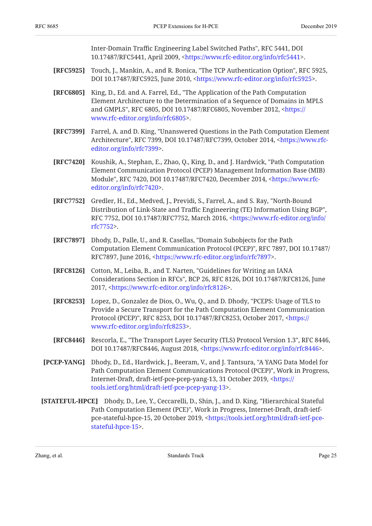Inter-Domain Traffic Engineering Label Switched Paths", RFC 5441, DOI 10.17487/RFC5441, April 2009, <https://www.rfc-editor.org/info/rfc5441>.

- <span id="page-24-8"></span>**[RFC5925]** Touch, J., Mankin, A., and R. Bonica, "The TCP Authentication Option", RFC 5925, DOI 10.17487/RFC5925, June 2010, <<https://www.rfc-editor.org/info/rfc5925>>.
- <span id="page-24-0"></span>**[RFC6805]** King, D., Ed. and A. Farrel, Ed., "The Application of the Path Computation and GMPLS", RFC 6805, DOI 10.17487/RFC6805, November 2012, [<https://](https://www.rfc-editor.org/info/rfc6805) . [www.rfc-editor.org/info/rfc6805>](https://www.rfc-editor.org/info/rfc6805) Element Architecture to the Determination of a Sequence of Domains in MPLS
- <span id="page-24-3"></span>**[RFC7399]** Farrel, A. and D. King, "Unanswered Questions in the Path Computation Element Architecture", RFC 7399, DOI 10.17487/RFC7399, October 2014, <[https://www.rfc-](https://www.rfc-editor.org/info/rfc7399). [editor.org/info/rfc7399](https://www.rfc-editor.org/info/rfc7399)>
- <span id="page-24-5"></span>**[RFC7420]** Koushik, A., Stephan, E., Zhao, Q., King, D., and J. Hardwick, "Path Computation Module", RFC 7420, DOI 10.17487/RFC7420, December 2014, [<https://www.rfc-](https://www.rfc-editor.org/info/rfc7420). [editor.org/info/rfc7420](https://www.rfc-editor.org/info/rfc7420)> Element Communication Protocol (PCEP) Management Information Base (MIB)
- <span id="page-24-1"></span>**[RFC7752]** , Gredler, H., Ed., Medved, J., Previdi, S., Farrel, A., and S. Ray "North-Bound , Distribution of Link-State and Traffic Engineering (TE) Information Using BGP" RFC 7752, DOI 10.17487/RFC7752, March 2016, <[https://www.rfc-editor.org/info/](https://www.rfc-editor.org/info/rfc7752) . [rfc7752>](https://www.rfc-editor.org/info/rfc7752)
- <span id="page-24-4"></span>**[RFC7897]** , Dhody, D., Palle, U., and R. Casellas "Domain Subobjects for the Path Computation Element Communication Protocol (PCEP)", RFC 7897, DOI 10.17487/ RFC7897, June 2016, [<https://www.rfc-editor.org/info/rfc7897>](https://www.rfc-editor.org/info/rfc7897).
- <span id="page-24-7"></span>**[RFC8126]** Cotton, M., Leiba, B., and T. Narten, "Guidelines for Writing an IANA Considerations Section in RFCs", BCP 26, RFC 8126, DOI 10.17487/RFC8126, June 2017, <https://www.rfc-editor.org/info/rfc8126>.
- <span id="page-24-9"></span>**[RFC8253]** , Lopez, D., Gonzalez de Dios, O., Wu, Q., and D. Dhody "PCEPS: Usage of TLS to Protocol (PCEP)", RFC 8253, DOI 10.17487/RFC8253, October 2017, [<https://](https://www.rfc-editor.org/info/rfc8253) . [www.rfc-editor.org/info/rfc8253>](https://www.rfc-editor.org/info/rfc8253) Provide a Secure Transport for the Path Computation Element Communication
- <span id="page-24-10"></span>**[RFC8446]** Rescorla, E., "The Transport Layer Security (TLS) Protocol Version 1.3", RFC 8446, DOI 10.17487/RFC8446, August 2018, <https://www.rfc-editor.org/info/rfc8446>.
- <span id="page-24-6"></span>**[PCEP-YANG]** Dhody, D., Ed., Hardwick, J., Beeram, V., and J. Tantsura, "A YANG Data Model for Path Computation Element Communications Protocol (PCEP)", Work in Progress, Internet-Draft, draft-ietf-pce-pcep-yang-13, 31 October 2019, <<del>htt</del>ps:// . [tools.ietf.org/html/draft-ietf-pce-pcep-yang-13](https://tools.ietf.org/html/draft-ietf-pce-pcep-yang-13)>
- <span id="page-24-2"></span>**[STATEFUL-HPCE]** Dhody, D., Lee, Y., Ceccarelli, D., Shin, J., and D. King, "Hierarchical Stateful Path Computation Element (PCE)", Work in Progress, Internet-Draft, draft-ietfpce-stateful-hpce-15, 20 October 2019, <[https://tools.ietf.org/html/draft-ietf-pce-](https://tools.ietf.org/html/draft-ietf-pce-stateful-hpce-15). [stateful-hpce-15>](https://tools.ietf.org/html/draft-ietf-pce-stateful-hpce-15)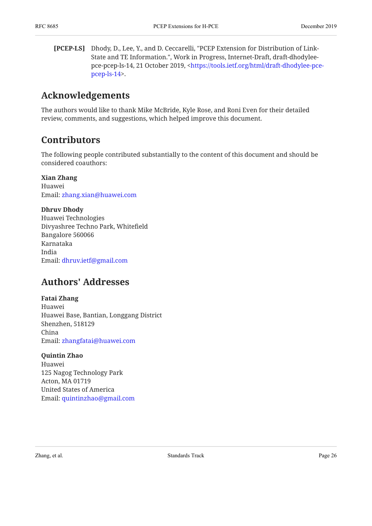<span id="page-25-3"></span>**[PCEP-LS]** Dhody, D., Lee, Y., and D. Ceccarelli, "PCEP Extension for Distribution of Link-State and TE Information.", Work in Progress, Internet-Draft, draft-dhodylee-pce-pcep-ls-14, 21 October 2019, [<https://tools.ietf.org/html/draft-dhodylee-pce-](https://tools.ietf.org/html/draft-dhodylee-pce-pcep-ls-14). [pcep-ls-14](https://tools.ietf.org/html/draft-dhodylee-pce-pcep-ls-14)>

# <span id="page-25-0"></span>**[Acknowledgements](#page-25-0)**

<span id="page-25-1"></span>The authors would like to thank Mike McBride, Kyle Rose, and Roni Even for their detailed review, comments, and suggestions, which helped improve this document.

# **[Contributors](#page-25-1)**

The following people contributed substantially to the content of this document and should be considered coauthors:

## **Xian Zhang**

Huawei Email: [zhang.xian@huawei.com](mailto:zhang.xian@huawei.com)

### **Dhruv Dhody**

Huawei Technologies Divyashree Techno Park, Whitefield Bangalore 560066 Karnataka India Email: [dhruv.ietf@gmail.com](mailto:dhruv.ietf@gmail.com)

# <span id="page-25-2"></span>**[Authors' Addresses](#page-25-2)**

### **Fatai Zhang**

Huawei Huawei Base, Bantian, Longgang District Shenzhen, 518129 China Email: [zhangfatai@huawei.com](mailto:zhangfatai@huawei.com)

### **Quintin Zhao**

Huawei 125 Nagog Technology Park Acton, MA 01719 United States of America Email: [quintinzhao@gmail.com](mailto:quintinzhao@gmail.com)